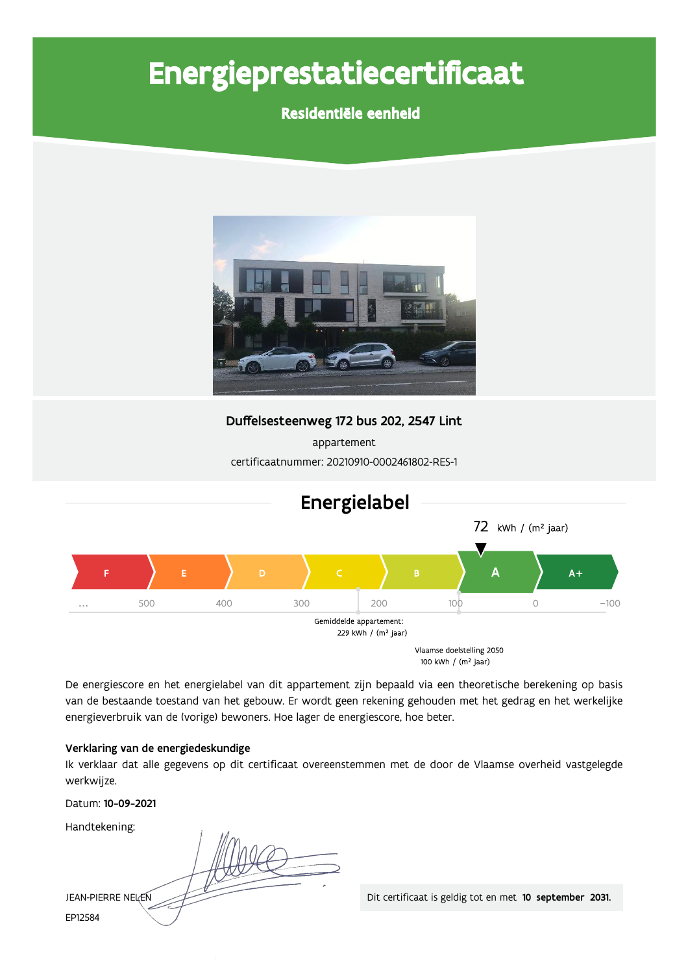# Energieprestatiecertificaat

### Residentiële eenheid



Vlaamse doelstelling 2050 100 kWh / (m<sup>2</sup> jaar)

De energiescore en het energielabel van dit appartement zijn bepaald via een theoretische berekening op basis van de bestaande toestand van het gebouw. Er wordt geen rekening gehouden met het gedrag en het werkelijke energieverbruik van de (vorige) bewoners. Hoe lager de energiescore, hoe beter.

#### Verklaring van de energiedeskundige

Ik verklaar dat alle gegevens op dit certificaat overeenstemmen met de door de Vlaamse overheid vastgelegde werkwijze.

Datum: 10-09-2021

Handtekening:

JEAN-PIERRE NELEN EP12584

Dit certificaat is geldig tot en met 10 september 2031.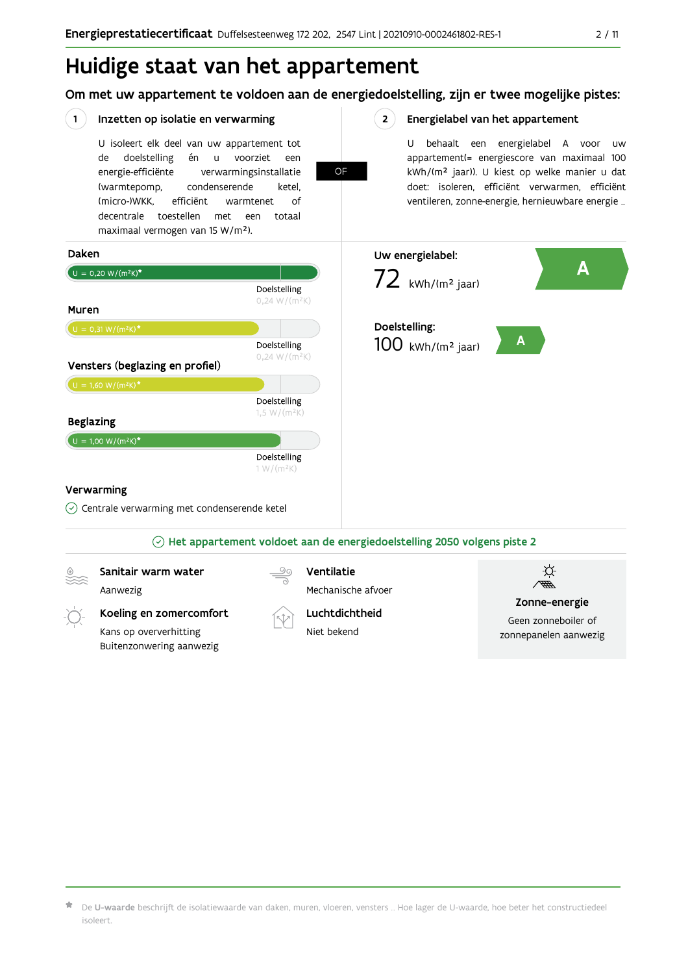### Huidige staat van het appartement

Om met uw appartement te voldoen aan de energiedoelstelling, zijn er twee mogelijke pistes:

OF

 $2^{\circ}$ 

#### $(1)$ Inzetten op isolatie en verwarming

U isoleert elk deel van uw appartement tot doelstelling én u voorziet de een energie-efficiënte verwarmingsinstallatie (warmtepomp, condenserende ketel, (micro-)WKK. efficiënt warmtenet  $\bigcap_{ }$ decentrale toestellen met een totaal maximaal vermogen van 15 W/m<sup>2</sup>).

Energielabel van het appartement

U behaalt een energielabel A voor  $\overline{U}$ appartement(= energiescore van maximaal 100 kWh/(m<sup>2</sup> jaar)). U kiest op welke manier u dat doet: isoleren, efficiënt verwarmen, efficiënt ventileren, zonne-energie, hernieuwbare energie ...



De U-waarde beschrijft de isolatiewaarde van daken, muren, vloeren, vensters ... Hoe lager de U-waarde, hoe beter het constructiedeel isoleert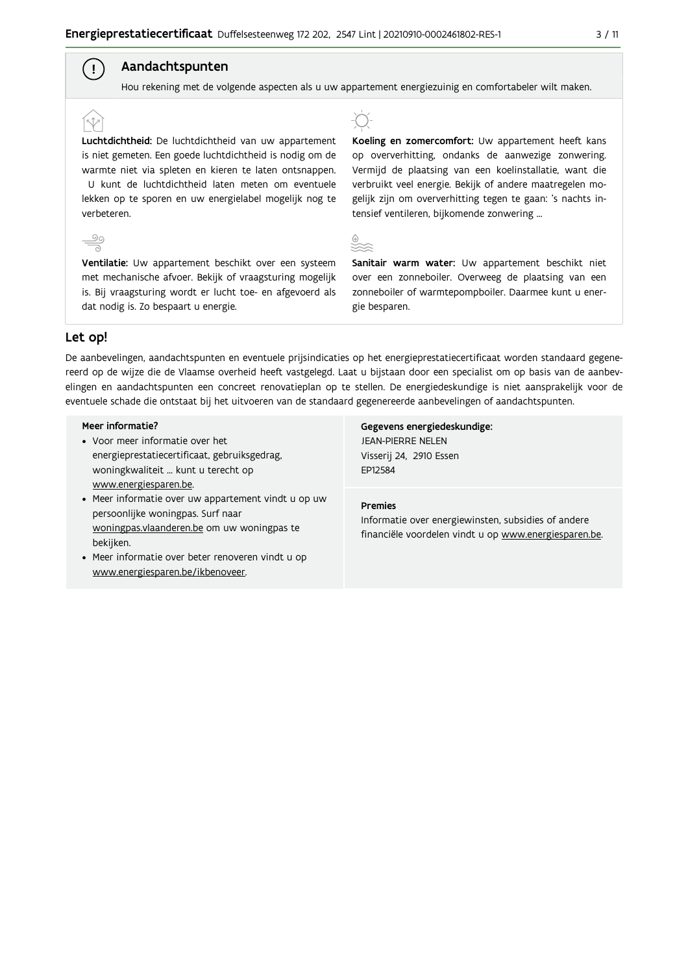#### Aandachtspunten

Hou rekening met de volgende aspecten als u uw appartement energiezuinig en comfortabeler wilt maken.

Luchtdichtheid: De luchtdichtheid van uw appartement is niet gemeten. Een goede luchtdichtheid is nodig om de warmte niet via spleten en kieren te laten ontsnappen. U kunt de luchtdichtheid laten meten om eventuele lekken op te sporen en uw energielabel mogelijk nog te verbeteren.

Ventilatie: Uw appartement beschikt over een systeem met mechanische afvoer. Bekijk of vraagsturing mogelijk is. Bij vraagsturing wordt er lucht toe- en afgevoerd als dat nodig is. Zo bespaart u energie.



Koeling en zomercomfort: Uw appartement heeft kans op oververhitting, ondanks de aanwezige zonwering. Vermijd de plaatsing van een koelinstallatie, want die verbruikt veel energie. Bekijk of andere maatregelen mogelijk zijn om oververhitting tegen te gaan: 's nachts intensief ventileren, bijkomende zonwering ...



Sanitair warm water: Uw appartement beschikt niet over een zonneboiler. Overweeg de plaatsing van een zonneboiler of warmtepompboiler. Daarmee kunt u energie besparen.

#### Let op!

 $\stackrel{90}{\equiv}$ 

 $\left( \begin{array}{c} 1 \end{array} \right)$ 

De aanbevelingen, aandachtspunten en eventuele prijsindicaties op het energieprestatiecertificaat worden standaard gegenereerd op de wijze die de Vlaamse overheid heeft vastgelegd. Laat u bijstaan door een specialist om op basis van de aanbevelingen en aandachtspunten een concreet renovatieplan op te stellen. De energiedeskundige is niet aansprakelijk voor de eventuele schade die ontstaat bij het uitvoeren van de standaard gegenereerde aanbevelingen of aandachtspunten.

#### Meer informatie?

- Voor meer informatie over het energieprestatiecertificaat, gebruiksgedrag, woningkwaliteit ... kunt u terecht op www.energiesparen.be.
- Meer informatie over uw appartement vindt u op uw persoonlijke woningpas. Surf naar woningpas.vlaanderen.be om uw woningpas te bekijken.
- Meer informatie over beter renoveren vindt u op www.energiesparen.be/ikbenoveer.

Gegevens energiedeskundige: **JEAN-PIERRE NELEN** Visserij 24, 2910 Essen EP12584

#### **Premies**

Informatie over energiewinsten, subsidies of andere financiële voordelen vindt u op www.energiesparen.be.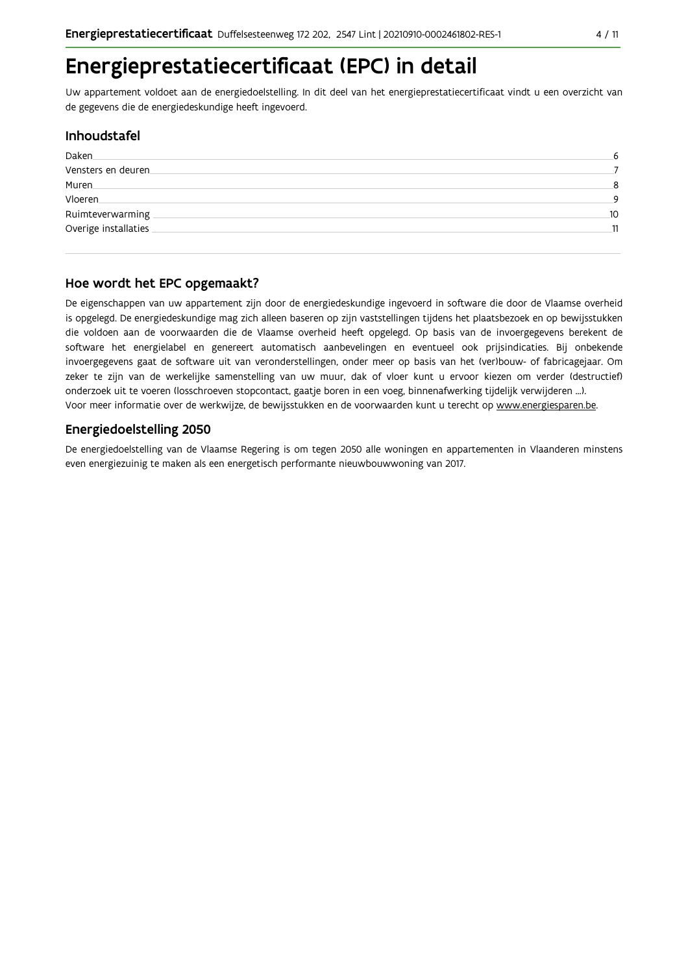### Energieprestatiecertificaat (EPC) in detail

Uw appartement voldoet aan de energiedoelstelling. In dit deel van het energieprestatiecertificaat vindt u een overzicht van de gegevens die de energiedeskundige heeft ingevoerd.

#### Inhoudstafel

| Daken                | 6       |
|----------------------|---------|
| Vensters en deuren   |         |
| Muren.               | 8       |
| <b>Vloeren</b>       | $\circ$ |
| Ruimteverwarming     | 10      |
| Overige installaties | 11      |
|                      |         |

#### Hoe wordt het EPC opgemaakt?

De eigenschappen van uw appartement zijn door de energiedeskundige ingevoerd in software die door de Vlaamse overheid is opgelegd. De energiedeskundige mag zich alleen baseren op zijn vaststellingen tijdens het plaatsbezoek en op bewijsstukken die voldoen aan de voorwaarden die de Vlaamse overheid heeft opgelegd. Op basis van de invoergegevens berekent de software het energielabel en genereert automatisch aanbevelingen en eventueel ook prijsindicaties. Bij onbekende invoergegevens gaat de software uit van veronderstellingen, onder meer op basis van het (ver)bouw- of fabricagejaar. Om zeker te zijn van de werkelijke samenstelling van uw muur, dak of vloer kunt u ervoor kiezen om verder (destructief) onderzoek uit te voeren (losschroeven stopcontact, gaatje boren in een voeg, binnenafwerking tijdelijk verwijderen ...). Voor meer informatie over de werkwijze, de bewijsstukken en de voorwaarden kunt u terecht op www.energiesparen.be.

#### **Energiedoelstelling 2050**

De energiedoelstelling van de Vlaamse Regering is om tegen 2050 alle woningen en appartementen in Vlaanderen minstens even energiezuinig te maken als een energetisch performante nieuwbouwwoning van 2017.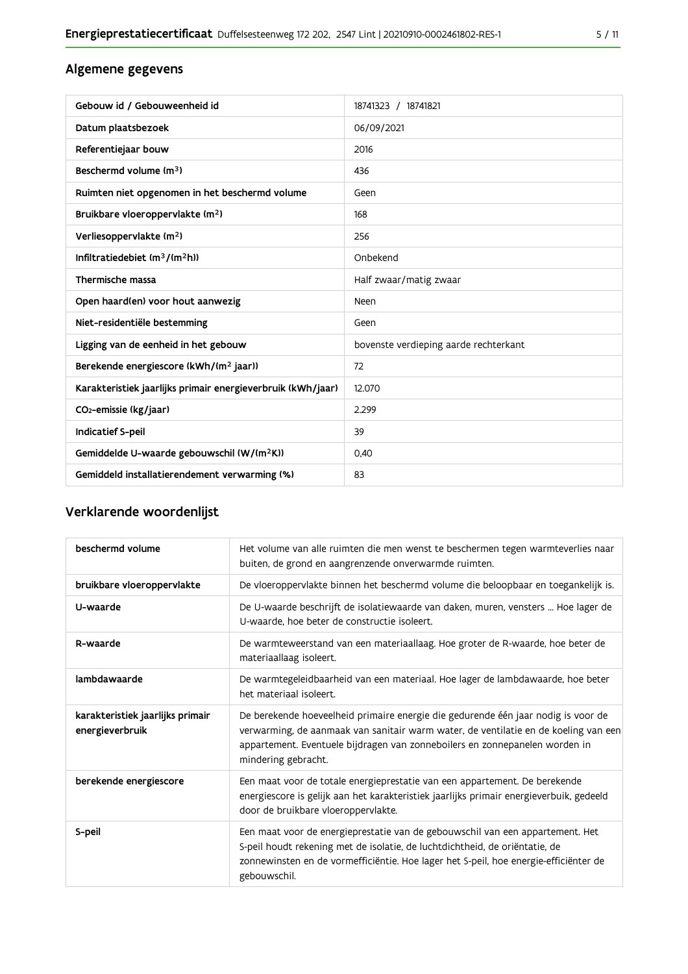#### Algemene gegevens

| Gebouw id / Gebouweenheid id                                | 18741323 / 18741821                   |
|-------------------------------------------------------------|---------------------------------------|
| Datum plaatsbezoek                                          | 06/09/2021                            |
| Referentiejaar bouw                                         | 2016                                  |
| Beschermd volume (m <sup>3</sup> )                          | 436                                   |
| Ruimten niet opgenomen in het beschermd volume              | Geen                                  |
| Bruikbare vloeroppervlakte (m <sup>2</sup> )                | 168                                   |
| Verliesoppervlakte (m <sup>2</sup> )                        | 256                                   |
| Infiltratiedebiet $(m^3/(m^2h))$                            | Onbekend                              |
| Thermische massa                                            | Half zwaar/matig zwaar                |
| Open haard(en) voor hout aanwezig                           | Neen                                  |
| Niet-residentiële bestemming                                | Geen                                  |
| Ligging van de eenheid in het gebouw                        | bovenste verdieping aarde rechterkant |
| Berekende energiescore (kWh/(m <sup>2</sup> jaar))          | 72                                    |
| Karakteristiek jaarlijks primair energieverbruik (kWh/jaar) | 12.070                                |
| CO <sub>2</sub> -emissie (kg/jaar)                          | 2.299                                 |
| Indicatief S-peil                                           | 39                                    |
| Gemiddelde U-waarde gebouwschil (W/(m <sup>2</sup> K))      | 0.40                                  |
| Gemiddeld installatierendement verwarming (%)               | 83                                    |

#### Verklarende woordenlijst

| beschermd volume                                    | Het volume van alle ruimten die men wenst te beschermen tegen warmteverlies naar<br>buiten, de grond en aangrenzende onverwarmde ruimten.                                                                                                                                      |
|-----------------------------------------------------|--------------------------------------------------------------------------------------------------------------------------------------------------------------------------------------------------------------------------------------------------------------------------------|
| bruikbare vloeroppervlakte                          | De vloeroppervlakte binnen het beschermd volume die beloopbaar en toegankelijk is.                                                                                                                                                                                             |
| U-waarde                                            | De U-waarde beschrijft de isolatiewaarde van daken, muren, vensters  Hoe lager de<br>U-waarde, hoe beter de constructie isoleert.                                                                                                                                              |
| R-waarde                                            | De warmteweerstand van een materiaallaag. Hoe groter de R-waarde, hoe beter de<br>materiaallaag isoleert.                                                                                                                                                                      |
| lambdawaarde                                        | De warmtegeleidbaarheid van een materiaal. Hoe lager de lambdawaarde, hoe beter<br>het materiaal isoleert.                                                                                                                                                                     |
| karakteristiek jaarlijks primair<br>energieverbruik | De berekende hoeveelheid primaire energie die gedurende één jaar nodig is voor de<br>verwarming, de aanmaak van sanitair warm water, de ventilatie en de koeling van een<br>appartement. Eventuele bijdragen van zonneboilers en zonnepanelen worden in<br>mindering gebracht. |
| berekende energiescore                              | Een maat voor de totale energieprestatie van een appartement. De berekende<br>energiescore is gelijk aan het karakteristiek jaarlijks primair energieverbuik, gedeeld<br>door de bruikbare vloeroppervlakte.                                                                   |
| S-peil                                              | Een maat voor de energieprestatie van de gebouwschil van een appartement. Het<br>S-peil houdt rekening met de isolatie, de luchtdichtheid, de oriëntatie, de<br>zonnewinsten en de vormefficiëntie. Hoe lager het S-peil, hoe energie-efficiënter de<br>gebouwschil.           |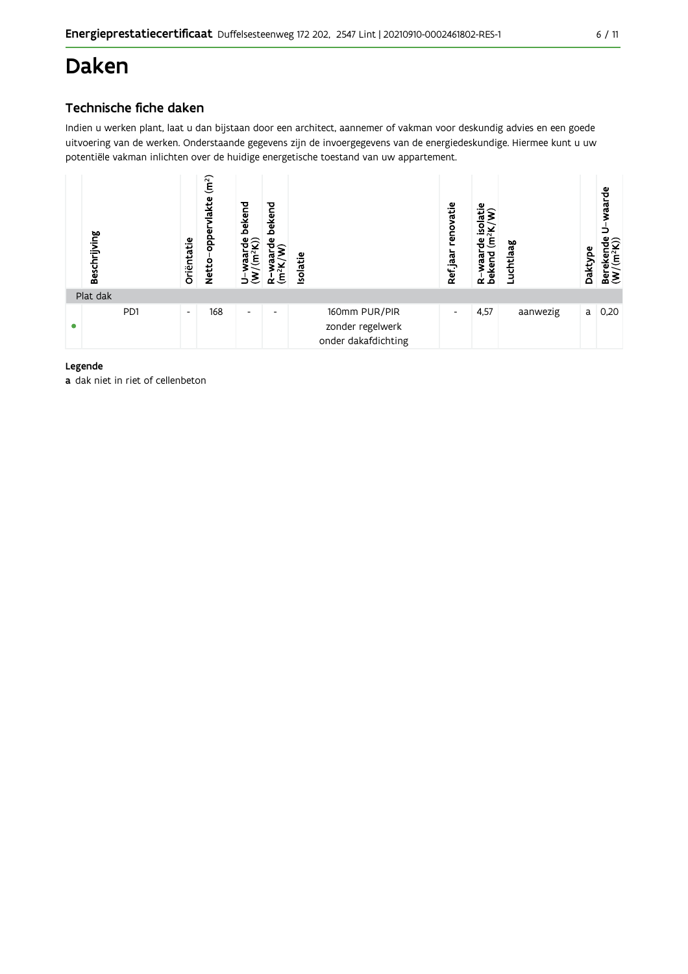### **Daken**

#### Technische fiche daken

Indien u werken plant, laat u dan bijstaan door een architect, aannemer of vakman voor deskundig advies en een goede uitvoering van de werken. Onderstaande gegevens zijn de invoergegevens van de energiedeskundige. Hiermee kunt u uw potentiële vakman inlichten over de huidige energetische toestand van uw appartement.



#### Legende

a dak niet in riet of cellenbeton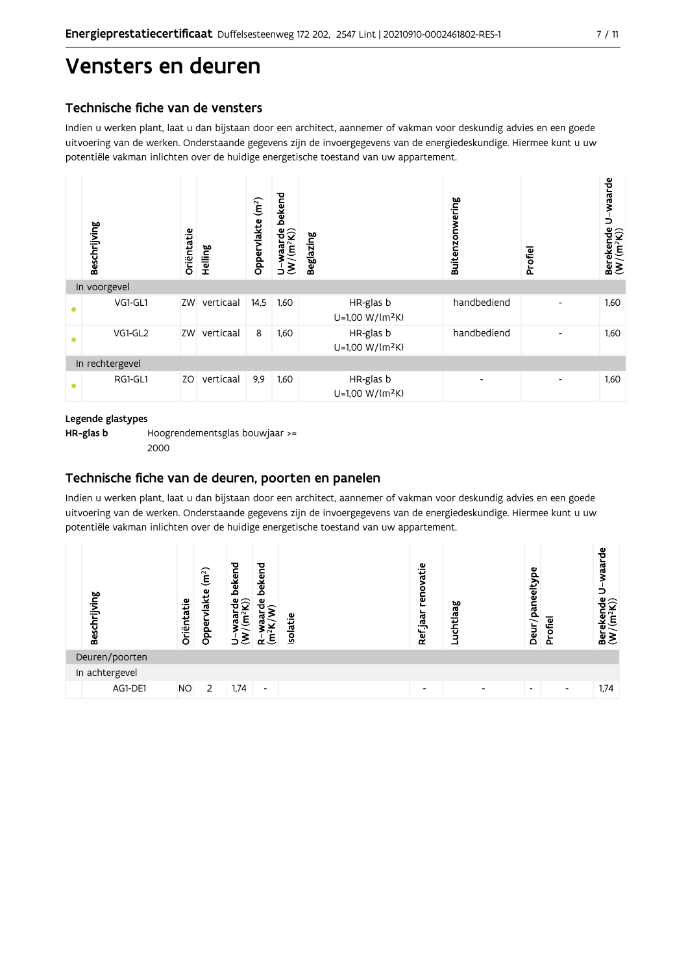### Vensters en deuren

#### Technische fiche van de vensters

Indien u werken plant, laat u dan bijstaan door een architect, aannemer of vakman voor deskundig advies en een goede uitvoering van de werken. Onderstaande gegevens zijn de invoergegevens van de energiedeskundige. Hiermee kunt u uw potentiële vakman inlichten over de huidige energetische toestand van uw appartement.



#### Legende glastypes

HR-glas b Hoogrendementsglas bouwjaar >= 2000

#### Technische fiche van de deuren, poorten en panelen

Indien u werken plant, laat u dan bijstaan door een architect, aannemer of vakman voor deskundig advies en een goede uitvoering van de werken. Onderstaande gegevens zijn de invoergegevens van de energiedeskundige. Hiermee kunt u uw potentiële vakman inlichten over de huidige energetische toestand van uw appartement.

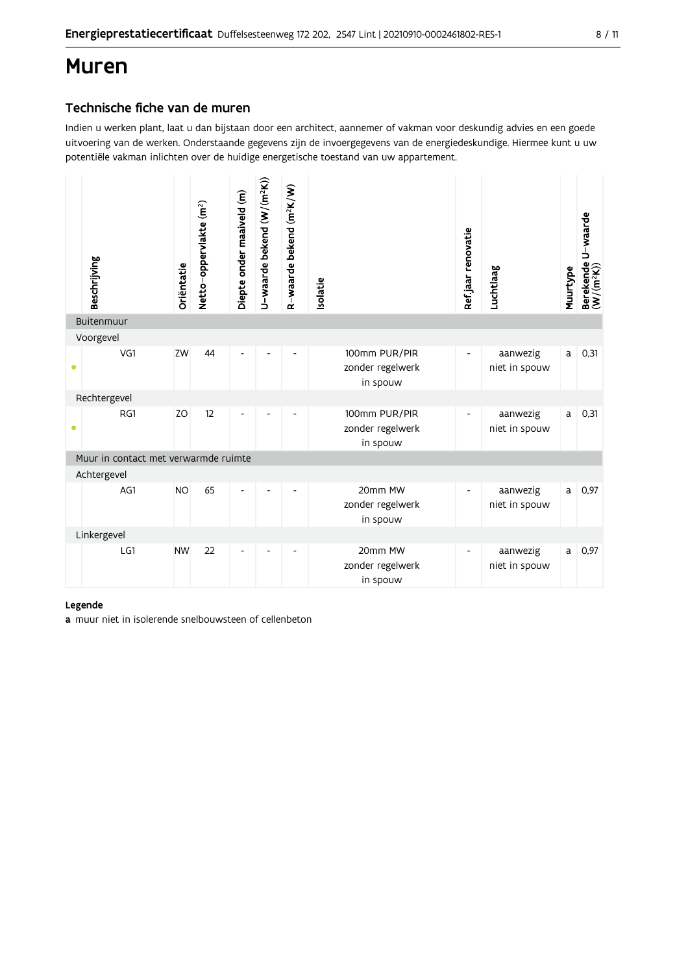### **Muren**

#### Technische fiche van de muren

Indien u werken plant, laat u dan bijstaan door een architect, aannemer of vakman voor deskundig advies en een goede uitvoering van de werken. Onderstaande gegevens zijn de invoergegevens van de energiedeskundige. Hiermee kunt u uw potentiële vakman inlichten over de huidige energetische toestand van uw appartement.

|             | Beschrijving                         | Oriëntatie | Netto-oppervlakte (m <sup>2</sup> ) | Diepte onder maaiveld (m) | U-waarde bekend (W/(m <sup>2</sup> K)) | R-waarde bekend (m <sup>2</sup> K/W) | Isolatie                                      | Refjaar renovatie        | Luchtlaag                 | Muurtype | Berekende U-waarde<br>(W/(m <sup>2</sup> K)) |
|-------------|--------------------------------------|------------|-------------------------------------|---------------------------|----------------------------------------|--------------------------------------|-----------------------------------------------|--------------------------|---------------------------|----------|----------------------------------------------|
|             | Buitenmuur                           |            |                                     |                           |                                        |                                      |                                               |                          |                           |          |                                              |
|             | Voorgevel                            |            |                                     |                           |                                        |                                      |                                               |                          |                           |          |                                              |
| $\bullet$   | VG1                                  | ZW         | 44                                  | Ĭ.                        |                                        |                                      | 100mm PUR/PIR<br>zonder regelwerk<br>in spouw | $\overline{\phantom{a}}$ | aanwezig<br>niet in spouw | a        | 0,31                                         |
|             | Rechtergevel                         |            |                                     |                           |                                        |                                      |                                               |                          |                           |          |                                              |
| $\bullet$   | RG1                                  | ZO         | 12                                  |                           |                                        |                                      | 100mm PUR/PIR<br>zonder regelwerk<br>in spouw |                          | aanwezig<br>niet in spouw | a        | 0,31                                         |
|             | Muur in contact met verwarmde ruimte |            |                                     |                           |                                        |                                      |                                               |                          |                           |          |                                              |
|             | Achtergevel                          |            |                                     |                           |                                        |                                      |                                               |                          |                           |          |                                              |
|             | AG1                                  | <b>NO</b>  | 65                                  |                           |                                        |                                      | 20mm MW<br>zonder regelwerk<br>in spouw       | $\overline{\phantom{a}}$ | aanwezig<br>niet in spouw | a        | 0,97                                         |
| Linkergevel |                                      |            |                                     |                           |                                        |                                      |                                               |                          |                           |          |                                              |
|             | LG1                                  | <b>NW</b>  | 22                                  |                           |                                        |                                      | 20mm MW<br>zonder regelwerk<br>in spouw       |                          | aanwezig<br>niet in spouw | a        | 0,97                                         |

#### Legende

a muur niet in isolerende snelbouwsteen of cellenbeton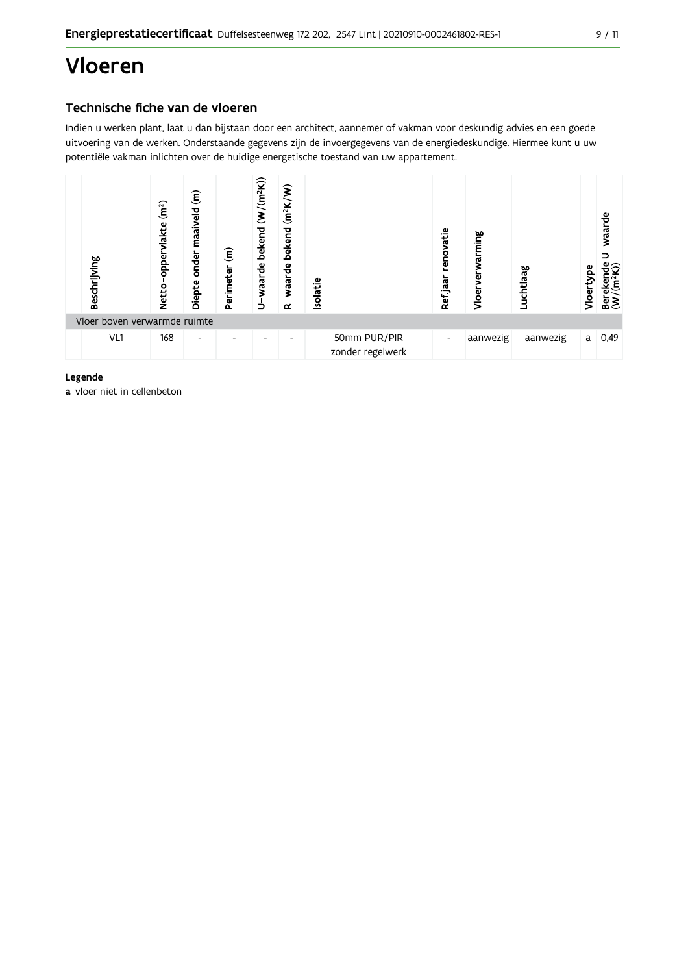## Vloeren

#### Technische fiche van de vloeren

Indien u werken plant, laat u dan bijstaan door een architect, aannemer of vakman voor deskundig advies en een goede uitvoering van de werken. Onderstaande gegevens zijn de invoergegevens van de energiedeskundige. Hiermee kunt u uw potentiële vakman inlichten over de huidige energetische toestand van uw appartement.



#### Legende

a vloer niet in cellenbeton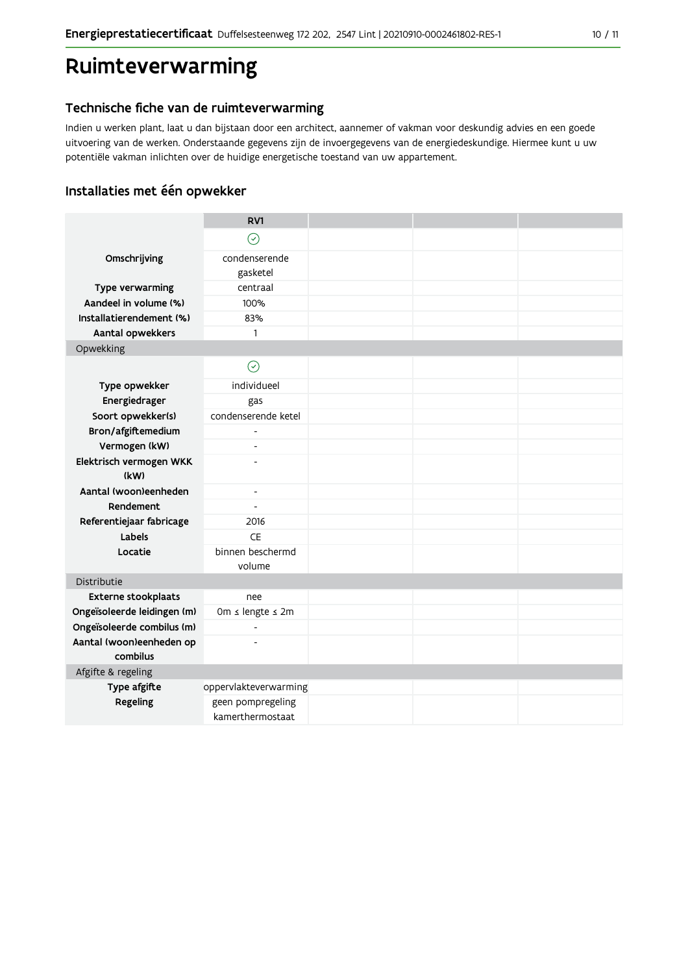### Ruimteverwarming

#### Technische fiche van de ruimteverwarming

Indien u werken plant, laat u dan bijstaan door een architect, aannemer of vakman voor deskundig advies en een goede uitvoering van de werken. Onderstaande gegevens zijn de invoergegevens van de energiedeskundige. Hiermee kunt u uw potentiële vakman inlichten over de huidige energetische toestand van uw appartement.

#### Installaties met één opwekker

|                                      | RV1                      |  |  |  |
|--------------------------------------|--------------------------|--|--|--|
|                                      | $\odot$                  |  |  |  |
| Omschrijving                         | condenserende            |  |  |  |
|                                      | gasketel                 |  |  |  |
| Type verwarming                      | centraal                 |  |  |  |
| Aandeel in volume (%)                | 100%                     |  |  |  |
| Installatierendement (%)             | 83%                      |  |  |  |
| Aantal opwekkers                     | $\mathbf{1}$             |  |  |  |
| Opwekking                            |                          |  |  |  |
|                                      | $\odot$                  |  |  |  |
| Type opwekker                        | individueel              |  |  |  |
| Energiedrager                        | gas                      |  |  |  |
| Soort opwekker(s)                    | condenserende ketel      |  |  |  |
| Bron/afgiftemedium                   |                          |  |  |  |
| Vermogen (kW)                        | $\overline{\phantom{m}}$ |  |  |  |
| Elektrisch vermogen WKK              |                          |  |  |  |
| (kW)                                 |                          |  |  |  |
| Aantal (woon)eenheden                | $\overline{\phantom{a}}$ |  |  |  |
| Rendement                            | $\overline{a}$           |  |  |  |
| Referentiejaar fabricage             | 2016                     |  |  |  |
| Labels                               | CE                       |  |  |  |
| Locatie                              | binnen beschermd         |  |  |  |
|                                      | volume                   |  |  |  |
| Distributie                          |                          |  |  |  |
| <b>Externe stookplaats</b>           | nee                      |  |  |  |
| Ongeïsoleerde leidingen (m)          | 0m ≤ lengte ≤ 2m         |  |  |  |
| Ongeïsoleerde combilus (m)           | $\overline{a}$           |  |  |  |
| Aantal (woon)eenheden op<br>combilus |                          |  |  |  |
| Afgifte & regeling                   |                          |  |  |  |
| Type afgifte                         | oppervlakteverwarming    |  |  |  |
| Regeling                             | geen pompregeling        |  |  |  |
|                                      | kamerthermostaat         |  |  |  |